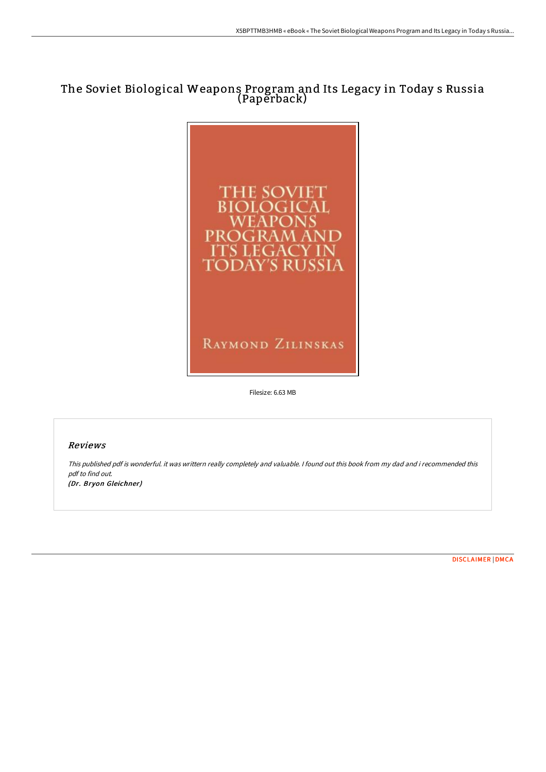# The Soviet Biological Weapons Program and Its Legacy in Today s Russia (Paperback)



RAYMOND ZILINSKAS

Filesize: 6.63 MB

# Reviews

This published pdf is wonderful. it was writtern really completely and valuable. I found out this book from my dad and i recommended this pdf to find out. (Dr. Bryon Gleichner)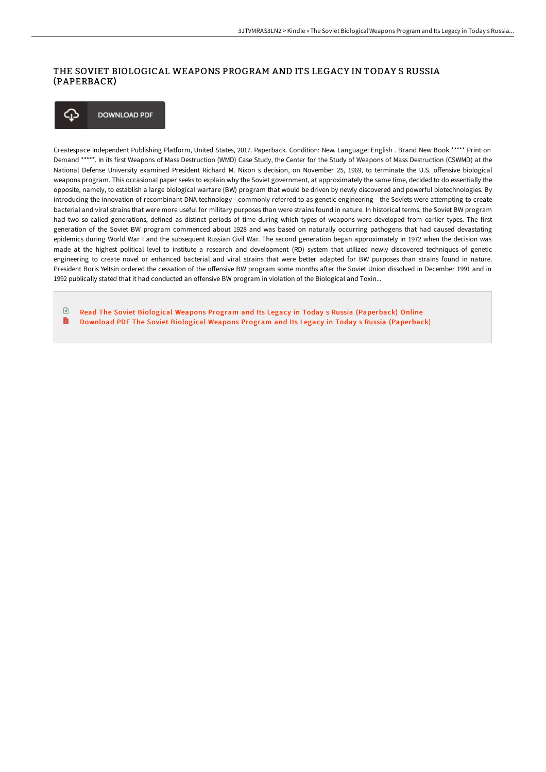## THE SOVIET BIOLOGICAL WEAPONS PROGRAM AND ITS LEGACY IN TODAY S RUSSIA (PAPERBACK)



Createspace Independent Publishing Platform, United States, 2017. Paperback. Condition: New. Language: English . Brand New Book \*\*\*\*\* Print on Demand \*\*\*\*\*. In its first Weapons of Mass Destruction (WMD) Case Study, the Center for the Study of Weapons of Mass Destruction (CSWMD) at the National Defense University examined President Richard M. Nixon s decision, on November 25, 1969, to terminate the U.S. offensive biological weapons program. This occasional paper seeks to explain why the Soviet government, at approximately the same time, decided to do essentially the opposite, namely, to establish a large biological warfare (BW) program that would be driven by newly discovered and powerful biotechnologies. By introducing the innovation of recombinant DNA technology - commonly referred to as genetic engineering - the Soviets were attempting to create bacterial and viral strains that were more useful for military purposes than were strains found in nature. In historical terms, the Soviet BW program had two so-called generations, defined as distinct periods of time during which types of weapons were developed from earlier types. The first generation of the Soviet BW program commenced about 1928 and was based on naturally occurring pathogens that had caused devastating epidemics during World War I and the subsequent Russian Civil War. The second generation began approximately in 1972 when the decision was made at the highest political level to institute a research and development (RD) system that utilized newly discovered techniques of genetic engineering to create novel or enhanced bacterial and viral strains that were better adapted for BW purposes than strains found in nature. President Boris Yeltsin ordered the cessation of the offensive BW program some months after the Soviet Union dissolved in December 1991 and in 1992 publically stated that it had conducted an offensive BW program in violation of the Biological and Toxin...

 $\mathbb{R}$ Read The Soviet Biological Weapons Program and Its Legacy in Today s Russia [\(Paperback\)](http://albedo.media/the-soviet-biological-weapons-program-and-its-le.html) Online B Download PDF The Soviet Biological Weapons Program and Its Legacy in Today s Russia [\(Paperback\)](http://albedo.media/the-soviet-biological-weapons-program-and-its-le.html)